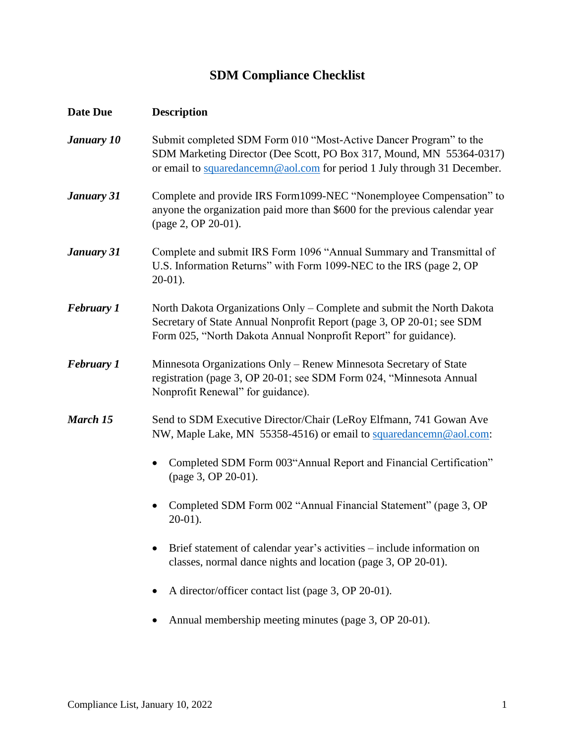## **SDM Compliance Checklist**

| Date Due          | <b>Description</b>                                                                                                                                                                                                    |
|-------------------|-----------------------------------------------------------------------------------------------------------------------------------------------------------------------------------------------------------------------|
| <b>January 10</b> | Submit completed SDM Form 010 "Most-Active Dancer Program" to the<br>SDM Marketing Director (Dee Scott, PO Box 317, Mound, MN 55364-0317)<br>or email to squaredancemn@aol.com for period 1 July through 31 December. |
| January 31        | Complete and provide IRS Form1099-NEC "Nonemployee Compensation" to<br>anyone the organization paid more than \$600 for the previous calendar year<br>(page 2, OP 20-01).                                             |
| <b>January 31</b> | Complete and submit IRS Form 1096 "Annual Summary and Transmittal of<br>U.S. Information Returns" with Form 1099-NEC to the IRS (page 2, OP<br>$20-01$ ).                                                             |
| <b>February 1</b> | North Dakota Organizations Only - Complete and submit the North Dakota<br>Secretary of State Annual Nonprofit Report (page 3, OP 20-01; see SDM<br>Form 025, "North Dakota Annual Nonprofit Report" for guidance).    |
| <b>February 1</b> | Minnesota Organizations Only – Renew Minnesota Secretary of State<br>registration (page 3, OP 20-01; see SDM Form 024, "Minnesota Annual<br>Nonprofit Renewal" for guidance).                                         |
| March 15          | Send to SDM Executive Director/Chair (LeRoy Elfmann, 741 Gowan Ave<br>NW, Maple Lake, MN 55358-4516) or email to squaredancemn@aol.com:                                                                               |
|                   | Completed SDM Form 003"Annual Report and Financial Certification"<br>(page 3, OP 20-01).                                                                                                                              |
|                   | Completed SDM Form 002 "Annual Financial Statement" (page 3, OP<br>$20-01$ ).                                                                                                                                         |
|                   | Brief statement of calendar year's activities – include information on<br>classes, normal dance nights and location (page 3, OP 20-01).                                                                               |
|                   | A director/officer contact list (page 3, OP 20-01).                                                                                                                                                                   |
|                   | Annual membership meeting minutes (page 3, OP 20-01).                                                                                                                                                                 |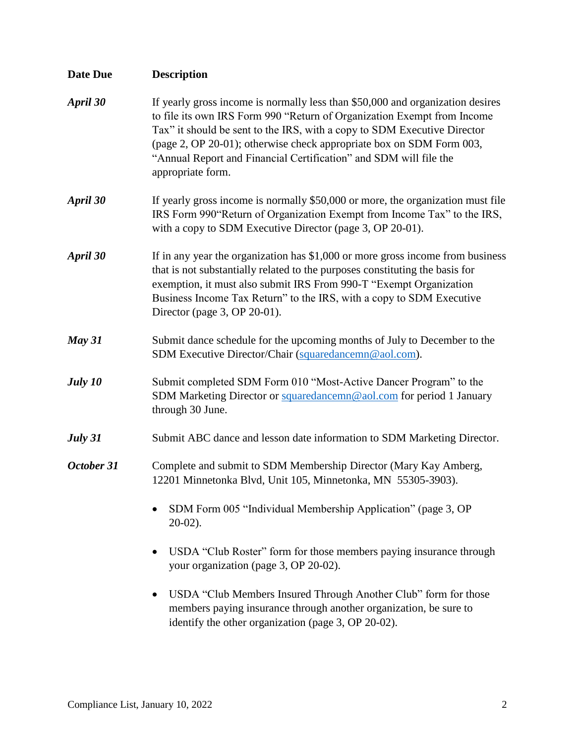| <b>Date Due</b> | <b>Description</b>                                                                                                                                                                                                                                                                                                                                                                                      |
|-----------------|---------------------------------------------------------------------------------------------------------------------------------------------------------------------------------------------------------------------------------------------------------------------------------------------------------------------------------------------------------------------------------------------------------|
| April 30        | If yearly gross income is normally less than \$50,000 and organization desires<br>to file its own IRS Form 990 "Return of Organization Exempt from Income<br>Tax" it should be sent to the IRS, with a copy to SDM Executive Director<br>(page 2, OP 20-01); otherwise check appropriate box on SDM Form 003,<br>"Annual Report and Financial Certification" and SDM will file the<br>appropriate form. |
| April 30        | If yearly gross income is normally \$50,000 or more, the organization must file<br>IRS Form 990"Return of Organization Exempt from Income Tax" to the IRS,<br>with a copy to SDM Executive Director (page 3, OP 20-01).                                                                                                                                                                                 |
| April 30        | If in any year the organization has $$1,000$ or more gross income from business<br>that is not substantially related to the purposes constituting the basis for<br>exemption, it must also submit IRS From 990-T "Exempt Organization<br>Business Income Tax Return" to the IRS, with a copy to SDM Executive<br>Director (page $3$ , OP 20-01).                                                        |
| May 31          | Submit dance schedule for the upcoming months of July to December to the<br>SDM Executive Director/Chair (squaredancemn@aol.com).                                                                                                                                                                                                                                                                       |
| July 10         | Submit completed SDM Form 010 "Most-Active Dancer Program" to the<br>SDM Marketing Director or squaredancemn@aol.com for period 1 January<br>through 30 June.                                                                                                                                                                                                                                           |
| July 31         | Submit ABC dance and lesson date information to SDM Marketing Director.                                                                                                                                                                                                                                                                                                                                 |
| October 31      | Complete and submit to SDM Membership Director (Mary Kay Amberg,<br>12201 Minnetonka Blvd, Unit 105, Minnetonka, MN 55305-3903).                                                                                                                                                                                                                                                                        |
|                 | SDM Form 005 "Individual Membership Application" (page 3, OP<br>$20-02$ ).                                                                                                                                                                                                                                                                                                                              |
|                 | USDA "Club Roster" form for those members paying insurance through<br>your organization (page 3, OP 20-02).                                                                                                                                                                                                                                                                                             |
|                 | USDA "Club Members Insured Through Another Club" form for those<br>members paying insurance through another organization, be sure to<br>identify the other organization (page 3, OP 20-02).                                                                                                                                                                                                             |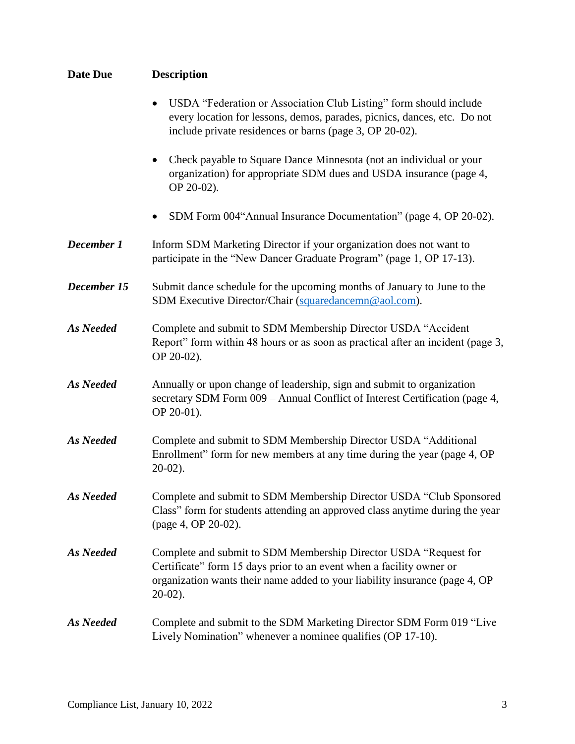| <b>Date Due</b>  | <b>Description</b>                                                                                                                                                                                                                    |
|------------------|---------------------------------------------------------------------------------------------------------------------------------------------------------------------------------------------------------------------------------------|
|                  | USDA "Federation or Association Club Listing" form should include<br>$\bullet$<br>every location for lessons, demos, parades, picnics, dances, etc. Do not<br>include private residences or barns (page 3, OP 20-02).                 |
|                  | Check payable to Square Dance Minnesota (not an individual or your<br>organization) for appropriate SDM dues and USDA insurance (page 4,<br>OP 20-02).                                                                                |
|                  | SDM Form 004"Annual Insurance Documentation" (page 4, OP 20-02).                                                                                                                                                                      |
| December 1       | Inform SDM Marketing Director if your organization does not want to<br>participate in the "New Dancer Graduate Program" (page 1, OP 17-13).                                                                                           |
| December 15      | Submit dance schedule for the upcoming months of January to June to the<br>SDM Executive Director/Chair (squaredancemn@aol.com).                                                                                                      |
| <b>As Needed</b> | Complete and submit to SDM Membership Director USDA "Accident<br>Report" form within 48 hours or as soon as practical after an incident (page 3,<br>OP 20-02).                                                                        |
| As Needed        | Annually or upon change of leadership, sign and submit to organization<br>secretary SDM Form 009 - Annual Conflict of Interest Certification (page 4,<br>OP 20-01).                                                                   |
| As Needed        | Complete and submit to SDM Membership Director USDA "Additional<br>Enrollment" form for new members at any time during the year (page 4, OP<br>$20-02$ ).                                                                             |
| <b>As Needed</b> | Complete and submit to SDM Membership Director USDA "Club Sponsored<br>Class" form for students attending an approved class anytime during the year<br>(page 4, OP 20-02).                                                            |
| As Needed        | Complete and submit to SDM Membership Director USDA "Request for<br>Certificate" form 15 days prior to an event when a facility owner or<br>organization wants their name added to your liability insurance (page 4, OP<br>$20-02$ ). |
| As Needed        | Complete and submit to the SDM Marketing Director SDM Form 019 "Live<br>Lively Nomination" whenever a nominee qualifies (OP 17-10).                                                                                                   |